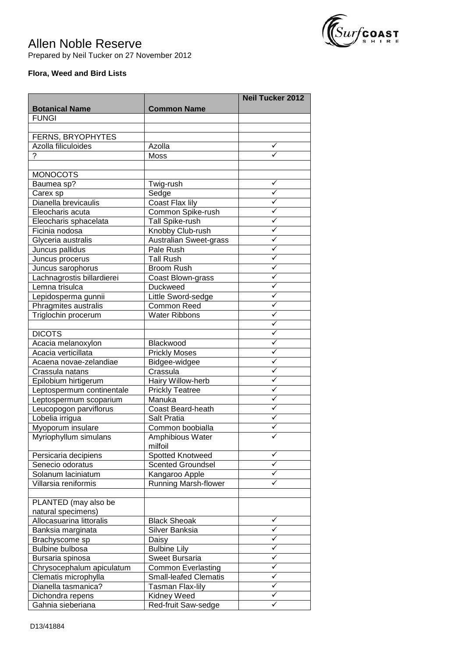

## Allen Noble Reserve

Prepared by Neil Tucker on 27 November 2012

## **Flora, Weed and Bird Lists**

|                                           |                                           | <b>Neil Tucker 2012</b>      |
|-------------------------------------------|-------------------------------------------|------------------------------|
| <b>Botanical Name</b>                     | <b>Common Name</b>                        |                              |
| <b>FUNGI</b>                              |                                           |                              |
|                                           |                                           |                              |
| FERNS, BRYOPHYTES                         |                                           |                              |
| Azolla filiculoides                       | Azolla                                    | ✓                            |
| ?                                         | Moss                                      |                              |
|                                           |                                           |                              |
| <b>MONOCOTS</b>                           |                                           |                              |
| Baumea sp?                                | Twig-rush                                 | ✓                            |
| Carex sp                                  | Sedge                                     | ✓                            |
| Dianella brevicaulis                      | Coast Flax lily                           | ✓                            |
| Eleocharis acuta                          | Common Spike-rush                         | ✓                            |
| Eleocharis sphacelata                     | Tall Spike-rush                           | ✓                            |
| Ficinia nodosa                            | Knobby Club-rush                          | ✓                            |
| Glyceria australis                        | Australian Sweet-grass                    | ✓                            |
| Juncus pallidus                           | Pale Rush                                 | ✓                            |
| Juncus procerus                           | <b>Tall Rush</b>                          | ✓                            |
| Juncus sarophorus                         | <b>Broom Rush</b>                         | ✓                            |
| Lachnagrostis billardierei                | Coast Blown-grass                         | ✓                            |
| Lemna trisulca                            | <b>Duckweed</b>                           | ✓                            |
| Lepidosperma gunnii                       | Little Sword-sedge                        | ✓                            |
| Phragmites australis                      | <b>Common Reed</b>                        | ✓<br>✓                       |
| Triglochin procerum                       | Water Ribbons                             | ✓                            |
|                                           |                                           | ✓                            |
| <b>DICOTS</b>                             |                                           | ✓                            |
| Acacia melanoxylon<br>Acacia verticillata | Blackwood                                 | ✓                            |
| Acaena novae-zelandiae                    | <b>Prickly Moses</b><br>Bidgee-widgee     | ✓                            |
| Crassula natans                           | Crassula                                  | ✓                            |
| Epilobium hirtigerum                      | Hairy Willow-herb                         | ✓                            |
| Leptospermum continentale                 | <b>Prickly Teatree</b>                    | ✓                            |
| Leptospermum scoparium                    | Manuka                                    | ✓                            |
| Leucopogon parviflorus                    | Coast Beard-heath                         | ✓                            |
| Lobelia irrigua                           | Salt Pratia                               | ✓                            |
| Myoporum insulare                         | Common boobialla                          |                              |
| Myriophyllum simulans                     | Amphibious Water                          |                              |
|                                           | milfoil                                   |                              |
| Persicaria decipiens                      | Spotted Knotweed                          | ✓                            |
| Senecio odoratus                          | <b>Scented Groundsel</b>                  | ✓                            |
| Solanum laciniatum                        | Kangaroo Apple                            | ✓                            |
| Villarsia reniformis                      | <b>Running Marsh-flower</b>               | ✓                            |
|                                           |                                           |                              |
| PLANTED (may also be                      |                                           |                              |
| natural specimens)                        |                                           |                              |
| Allocasuarina littoralis                  | <b>Black Sheoak</b>                       | ✓                            |
| Banksia marginata                         | Silver Banksia                            | ✓                            |
| Brachyscome sp                            | Daisy                                     | ✓                            |
| Bulbine bulbosa                           | <b>Bulbine Lily</b>                       | $\checkmark$                 |
| Bursaria spinosa                          | <b>Sweet Bursaria</b>                     | $\checkmark$                 |
| Chrysocephalum apiculatum                 | <b>Common Everlasting</b>                 | $\checkmark$                 |
| Clematis microphylla                      | <b>Small-leafed Clematis</b>              | $\checkmark$<br>$\checkmark$ |
| Dianella tasmanica?                       | <b>Tasman Flax-lily</b>                   | ✓                            |
| Dichondra repens<br>Gahnia sieberiana     | <b>Kidney Weed</b><br>Red-fruit Saw-sedge | ✓                            |
|                                           |                                           |                              |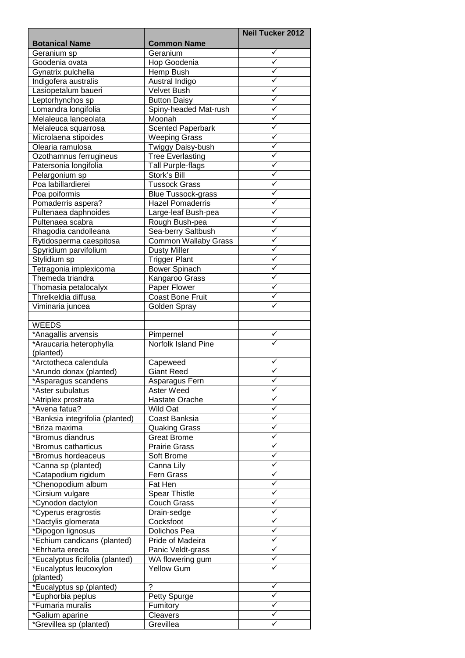|                                      |                                  | <b>Neil Tucker 2012</b> |
|--------------------------------------|----------------------------------|-------------------------|
| <b>Botanical Name</b>                | <b>Common Name</b>               |                         |
| Geranium sp                          | Geranium                         | ✓                       |
| Goodenia ovata                       | Hop Goodenia                     | ✓                       |
| Gynatrix pulchella                   | Hemp Bush                        | ✓                       |
| Indigofera australis                 | Austral Indigo                   | ✓                       |
| Lasiopetalum baueri                  | <b>Velvet Bush</b>               | ✓                       |
| Leptorhynchos sp                     | <b>Button Daisy</b>              | ✓                       |
| Lomandra longifolia                  | Spiny-headed Mat-rush            | ✓                       |
| Melaleuca lanceolata                 | Moonah                           | ✓                       |
| Melaleuca squarrosa                  | <b>Scented Paperbark</b>         | ✓                       |
| Microlaena stipoides                 | <b>Weeping Grass</b>             | ✓                       |
| Olearia ramulosa                     | Twiggy Daisy-bush                | ✓                       |
| Ozothamnus ferrugineus               | <b>Tree Everlasting</b>          | ✓                       |
| Patersonia longifolia                | <b>Tall Purple-flags</b>         | ✓                       |
| Pelargonium sp                       | Stork's Bill                     | ✓                       |
| Poa labillardierei                   | <b>Tussock Grass</b>             | ✓                       |
| Poa poiformis                        | <b>Blue Tussock-grass</b>        | ✓                       |
| Pomaderris aspera?                   | <b>Hazel Pomaderris</b>          | ✓                       |
| Pultenaea daphnoides                 | Large-leaf Bush-pea              | ✓                       |
| Pultenaea scabra                     | Rough Bush-pea                   | ✓                       |
| Rhagodia candolleana                 | Sea-berry Saltbush               | ✓                       |
| Rytidosperma caespitosa              | <b>Common Wallaby Grass</b>      | ✓                       |
| Spyridium parvifolium                | <b>Dusty Miller</b>              | ✓                       |
| Stylidium sp                         | <b>Trigger Plant</b>             | ✓                       |
| Tetragonia implexicoma               | <b>Bower Spinach</b>             | ✓                       |
| Themeda triandra                     | Kangaroo Grass                   | ✓                       |
| Thomasia petalocalyx                 | Paper Flower                     | ✓                       |
| Threlkeldia diffusa                  | <b>Coast Bone Fruit</b>          | ✓                       |
| Viminaria juncea                     | Golden Spray                     |                         |
|                                      |                                  |                         |
| <b>WEEDS</b>                         |                                  |                         |
| *Anagallis arvensis                  | Pimpernel<br>Norfolk Island Pine |                         |
| *Araucaria heterophylla<br>(planted) |                                  |                         |
| *Arctotheca calendula                | Capeweed                         | ✓                       |
| *Arundo donax (planted)              | <b>Giant Reed</b>                |                         |
| *Asparagus scandens                  | Asparagus Fern                   | ✓                       |
| *Aster subulatus                     | Aster Weed                       | ✓                       |
| *Atriplex prostrata                  | Hastate Orache                   | ✓                       |
| *Avena fatua?                        | <b>Wild Oat</b>                  | ✓                       |
| *Banksia integrifolia (planted)      | Coast Banksia                    | ✓                       |
| *Briza maxima                        | <b>Quaking Grass</b>             | ✓                       |
| *Bromus diandrus                     | <b>Great Brome</b>               | ✓                       |
| *Bromus catharticus                  | <b>Prairie Grass</b>             | ✓                       |
| *Bromus hordeaceus                   | Soft Brome                       | ✓                       |
| *Canna sp (planted)                  | Canna Lily                       | ✓                       |
| *Catapodium rigidum                  | Fern Grass                       | ✓                       |
| *Chenopodium album                   | Fat Hen                          | ✓                       |
| *Cirsium vulgare                     | <b>Spear Thistle</b>             | ✓                       |
| *Cynodon dactylon                    | <b>Couch Grass</b>               | ✓                       |
| *Cyperus eragrostis                  | Drain-sedge                      | ✓                       |
| *Dactylis glomerata                  | Cocksfoot                        | ✓                       |
| *Dipogon lignosus                    | Dolichos Pea                     | ✓                       |
| *Echium candicans (planted)          | Pride of Madeira                 | ✓                       |
| *Ehrharta erecta                     | Panic Veldt-grass                | ✓                       |
| *Eucalyptus ficifolia (planted)      | WA flowering gum                 | ✓                       |
| *Eucalyptus leucoxylon               | Yellow Gum                       |                         |
| (planted)                            |                                  |                         |
| *Eucalyptus sp (planted)             | ?                                |                         |
| *Euphorbia peplus                    | Petty Spurge                     |                         |
| *Fumaria muralis                     | Fumitory                         |                         |
| *Galium aparine                      | Cleavers                         |                         |
| *Grevillea sp (planted)              | Grevillea                        |                         |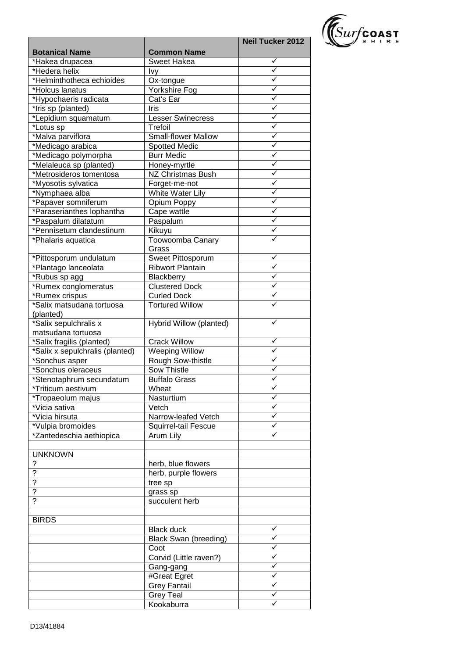

|                                         |                              | <b>Neil Tucker 2012</b> |
|-----------------------------------------|------------------------------|-------------------------|
| <b>Botanical Name</b>                   | <b>Common Name</b>           |                         |
| *Hakea drupacea                         | Sweet Hakea                  | ✓                       |
| *Hedera helix                           | <u>lvy</u>                   |                         |
| *Helminthotheca echioides               | Ox-tongue                    | ✓                       |
| *Holcus lanatus                         | Yorkshire Fog                | ✓                       |
| *Hypochaeris radicata                   | Cat's Ear                    | ✓                       |
| *Iris sp (planted)                      | Iris                         | ✓                       |
| *Lepidium squamatum                     | <b>Lesser Swinecress</b>     | ✓                       |
| *Lotus sp                               | Trefoil                      | ✓                       |
| *Malva parviflora                       | <b>Small-flower Mallow</b>   | ✓                       |
| *Medicago arabica                       | <b>Spotted Medic</b>         | ✓                       |
| *Medicago polymorpha                    | <b>Burr Medic</b>            | ✓                       |
| *Melaleuca sp (planted)                 | Honey-myrtle                 | ✓                       |
| *Metrosideros tomentosa                 | <b>NZ Christmas Bush</b>     | ✓                       |
| *Myosotis sylvatica                     | Forget-me-not                | ✓                       |
| *Nymphaea alba                          | White Water Lily             | ✓                       |
| *Papaver somniferum                     | Opium Poppy                  | ✓                       |
| *Paraserianthes lophantha               | Cape wattle                  | ✓                       |
| *Paspalum dilatatum                     | Paspalum                     | ✓                       |
| *Pennisetum clandestinum                | Kikuyu                       | ✓                       |
| *Phalaris aquatica                      | Toowoomba Canary             |                         |
|                                         | Grass                        |                         |
| *Pittosporum undulatum                  | Sweet Pittosporum            | ✓                       |
| *Plantago lanceolata                    | <b>Ribwort Plantain</b>      |                         |
| *Rubus sp agg                           | <b>Blackberry</b>            | ✓                       |
| *Rumex conglomeratus                    | <b>Clustered Dock</b>        | $\checkmark$            |
| *Rumex crispus                          | <b>Curled Dock</b>           | ✓                       |
| *Salix matsudana tortuosa               | <b>Tortured Willow</b>       |                         |
| (planted)                               |                              |                         |
| *Salix sepulchralis x                   | Hybrid Willow (planted)      |                         |
| matsudana tortuosa                      |                              |                         |
| *Salix fragilis (planted)               | <b>Crack Willow</b>          | ✓                       |
| *Salix x sepulchralis (planted)         | Weeping Willow               | ✓                       |
| *Sonchus asper                          | Rough Sow-thistle            | ✓                       |
| *Sonchus oleraceus                      | Sow Thistle                  | ✓                       |
| *Stenotaphrum secundatum                | <b>Buffalo Grass</b>         | ✓                       |
|                                         | Wheat                        |                         |
| *Triticum aestivum<br>*Tropaeolum majus | Nasturtium                   | v<br>✓                  |
| *Vicia sativa                           | Vetch                        | ✓                       |
| *Vicia hirsuta                          | Narrow-leafed Vetch          | ✓                       |
|                                         |                              | ✓                       |
| *Vulpia bromoides                       | Squirrel-tail Fescue         | ✓                       |
| *Zantedeschia aethiopica                | Arum Lily                    |                         |
|                                         |                              |                         |
| <b>UNKNOWN</b>                          |                              |                         |
| $\ddot{\phantom{0}}$                    | herb, blue flowers           |                         |
| $\overline{?}$                          | herb, purple flowers         |                         |
| $\overline{?}$                          | tree sp                      |                         |
| $\overline{?}$                          | grass sp                     |                         |
| $\overline{?}$                          | succulent herb               |                         |
|                                         |                              |                         |
| <b>BIRDS</b>                            |                              |                         |
|                                         | <b>Black duck</b>            | ✓                       |
|                                         | <b>Black Swan (breeding)</b> | ✓                       |
|                                         | Coot                         | ✓                       |
|                                         | Corvid (Little raven?)       | ✓                       |
|                                         | Gang-gang                    | ✓                       |
|                                         | #Great Egret                 | ✓                       |
|                                         | <b>Grey Fantail</b>          | ✓                       |
|                                         | <b>Grey Teal</b>             | ✓                       |
|                                         | Kookaburra                   |                         |